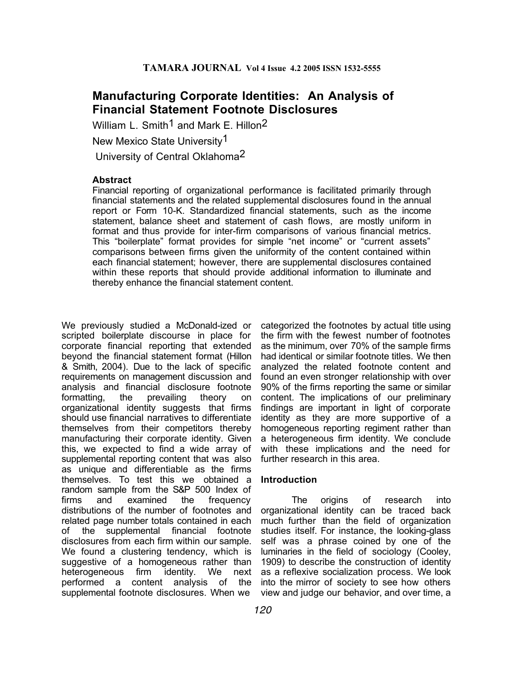# **Manufacturing Corporate Identities: An Analysis of Financial Statement Footnote Disclosures**

William L. Smith<sup>1</sup> and Mark E. Hillon<sup>2</sup> New Mexico State University1 University of Central Oklahoma2

### **Abstract**

Financial reporting of organizational performance is facilitated primarily through financial statements and the related supplemental disclosures found in the annual report or Form 10-K. Standardized financial statements, such as the income statement, balance sheet and statement of cash flows, are mostly uniform in format and thus provide for inter-firm comparisons of various financial metrics. This "boilerplate" format provides for simple "net income" or "current assets" comparisons between firms given the uniformity of the content contained within each financial statement; however, there are supplemental disclosures contained within these reports that should provide additional information to illuminate and thereby enhance the financial statement content.

We previously studied a McDonald-ized or scripted boilerplate discourse in place for corporate financial reporting that extended beyond the financial statement format (Hillon & Smith, 2004). Due to the lack of specific requirements on management discussion and analysis and financial disclosure footnote formatting, the prevailing theory on organizational identity suggests that firms should use financial narratives to differentiate themselves from their competitors thereby manufacturing their corporate identity. Given this, we expected to find a wide array of supplemental reporting content that was also as unique and differentiable as the firms themselves. To test this we obtained a random sample from the S&P 500 Index of firms and examined the frequency distributions of the number of footnotes and related page number totals contained in each of the supplemental financial footnote disclosures from each firm within our sample. We found a clustering tendency, which is suggestive of a homogeneous rather than heterogeneous firm identity. We next performed a content analysis of the supplemental footnote disclosures. When we

categorized the footnotes by actual title using the firm with the fewest number of footnotes as the minimum, over 70% of the sample firms had identical or similar footnote titles. We then analyzed the related footnote content and found an even stronger relationship with over 90% of the firms reporting the same or similar content. The implications of our preliminary findings are important in light of corporate identity as they are more supportive of a homogeneous reporting regiment rather than a heterogeneous firm identity. We conclude with these implications and the need for further research in this area.

### **Introduction**

The origins of research into organizational identity can be traced back much further than the field of organization studies itself. For instance, the looking-glass self was a phrase coined by one of the luminaries in the field of sociology (Cooley, 1909) to describe the construction of identity as a reflexive socialization process. We look into the mirror of society to see how others view and judge our behavior, and over time, a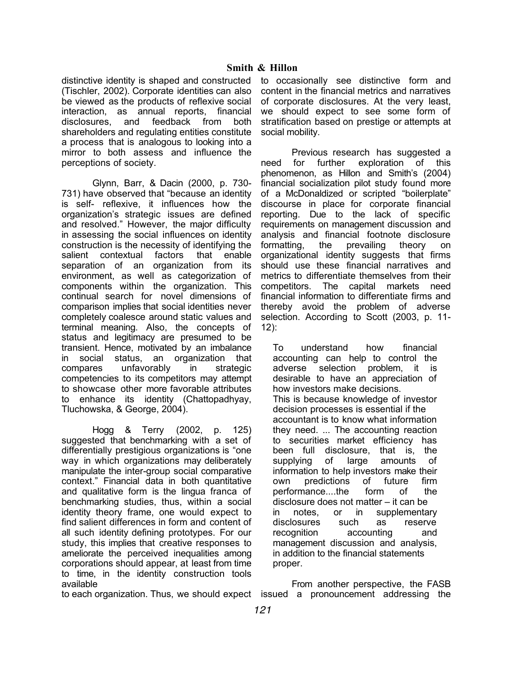distinctive identity is shaped and constructed (Tischler, 2002). Corporate identities can also be viewed as the products of reflexive social interaction, as annual reports, financial disclosures, and feedback from both shareholders and regulating entities constitute a process that is analogous to looking into a mirror to both assess and influence the perceptions of society.

Glynn, Barr, & Dacin (2000, p. 730- 731) have observed that "because an identity is self- reflexive, it influences how the organization's strategic issues are defined and resolved." However, the major difficulty in assessing the social influences on identity construction is the necessity of identifying the salient contextual factors that enable separation of an organization from its environment, as well as categorization of components within the organization. This continual search for novel dimensions of comparison implies that social identities never completely coalesce around static values and terminal meaning. Also, the concepts of status and legitimacy are presumed to be transient. Hence, motivated by an imbalance in social status, an organization that compares unfavorably in strategic competencies to its competitors may attempt to showcase other more favorable attributes to enhance its identity (Chattopadhyay, Tluchowska, & George, 2004).

Hogg & Terry (2002, p. 125) suggested that benchmarking with a set of differentially prestigious organizations is "one way in which organizations may deliberately manipulate the inter-group social comparative context." Financial data in both quantitative and qualitative form is the lingua franca of benchmarking studies, thus, within a social identity theory frame, one would expect to find salient differences in form and content of all such identity defining prototypes. For our study, this implies that creative responses to ameliorate the perceived inequalities among corporations should appear, at least from time to time, in the identity construction tools available

to occasionally see distinctive form and content in the financial metrics and narratives of corporate disclosures. At the very least, we should expect to see some form of stratification based on prestige or attempts at social mobility.

Previous research has suggested a need for further exploration of this phenomenon, as Hillon and Smith's (2004) financial socialization pilot study found more of a McDonaldized or scripted "boilerplate" discourse in place for corporate financial reporting. Due to the lack of specific requirements on management discussion and analysis and financial footnote disclosure formatting, the prevailing theory on organizational identity suggests that firms should use these financial narratives and metrics to differentiate themselves from their competitors. The capital markets need financial information to differentiate firms and thereby avoid the problem of adverse selection. According to Scott (2003, p. 11- 12):

To understand how financial accounting can help to control the adverse selection problem, it is desirable to have an appreciation of how investors make decisions. This is because knowledge of investor decision processes is essential if the accountant is to know what information they need. ... The accounting reaction to securities market efficiency has been full disclosure, that is, the supplying of large amounts of information to help investors make their own predictions of future firm performance....the form of the disclosure does not matter – it can be in notes, or in supplementary disclosures such as reserve recognition accounting and management discussion and analysis, in addition to the financial statements proper.

to each organization. Thus, we should expect issued a pronouncement addressing the From another perspective, the FASB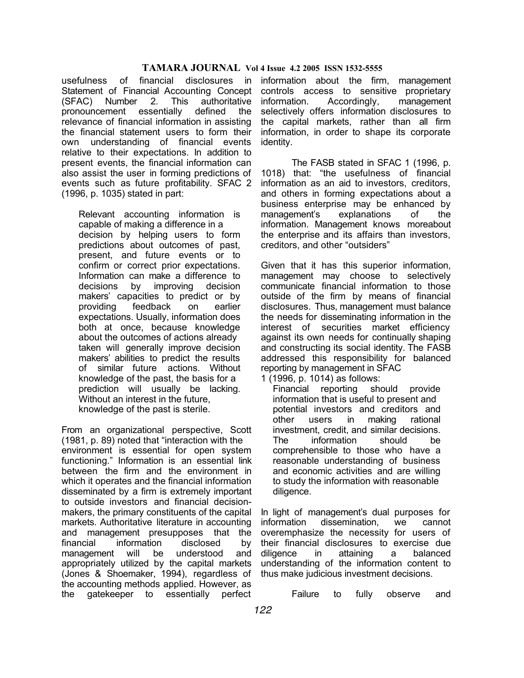usefulness of financial disclosures in Statement of Financial Accounting Concept (SFAC) Number 2. This authoritative pronouncement essentially defined the relevance of financial information in assisting the financial statement users to form their own understanding of financial events relative to their expectations. In addition to present events, the financial information can also assist the user in forming predictions of events such as future profitability. SFAC 2 (1996, p. 1035) stated in part:

Relevant accounting information is capable of making a difference in a decision by helping users to form predictions about outcomes of past, present, and future events or to confirm or correct prior expectations. Information can make a difference to decisions by improving decision makers' capacities to predict or by providing feedback on earlier expectations. Usually, information does both at once, because knowledge about the outcomes of actions already taken will generally improve decision makers' abilities to predict the results of similar future actions. Without knowledge of the past, the basis for a prediction will usually be lacking. Without an interest in the future, knowledge of the past is sterile.

From an organizational perspective, Scott (1981, p. 89) noted that "interaction with the environment is essential for open system functioning." Information is an essential link between the firm and the environment in which it operates and the financial information disseminated by a firm is extremely important to outside investors and financial decisionmakers, the primary constituents of the capital markets. Authoritative literature in accounting and management presupposes that the financial information disclosed by management will be understood and appropriately utilized by the capital markets (Jones & Shoemaker, 1994), regardless of the accounting methods applied. However, as the gatekeeper to essentially perfect

information about the firm, management controls access to sensitive proprietary information. Accordingly, management selectively offers information disclosures to the capital markets, rather than all firm information, in order to shape its corporate identity.

The FASB stated in SFAC 1 (1996, p. 1018) that: "the usefulness of financial information as an aid to investors, creditors, and others in forming expectations about a business enterprise may be enhanced by management's explanations of the information. Management knows moreabout the enterprise and its affairs than investors, creditors, and other "outsiders"

Given that it has this superior information, management may choose to selectively communicate financial information to those outside of the firm by means of financial disclosures. Thus, management must balance the needs for disseminating information in the interest of securities market efficiency against its own needs for continually shaping and constructing its social identity. The FASB addressed this responsibility for balanced reporting by management in SFAC

1 (1996, p. 1014) as follows:

Financial reporting should provide information that is useful to present and potential investors and creditors and other users in making rational investment, credit, and similar decisions. The information should be comprehensible to those who have a reasonable understanding of business and economic activities and are willing to study the information with reasonable diligence.

In light of management's dual purposes for information dissemination, we cannot overemphasize the necessity for users of their financial disclosures to exercise due diligence in attaining a balanced understanding of the information content to thus make judicious investment decisions.

Failure to fully observe and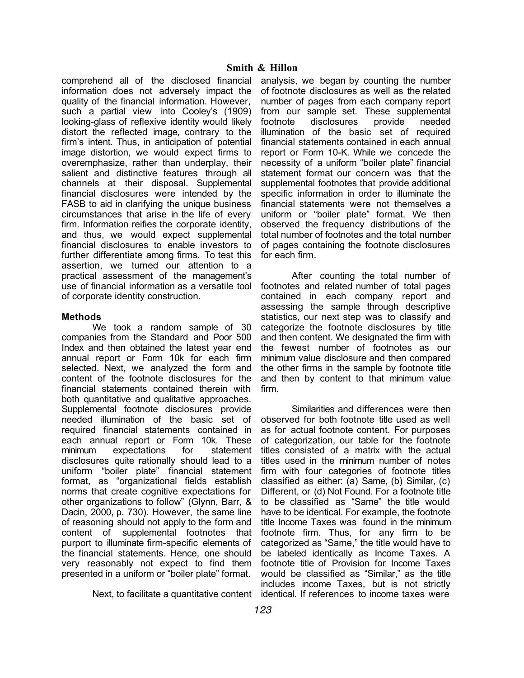comprehend all of the disclosed financial information does not adversely impact the quality of the financial information. However, such a partial view into Cooley's (1909) looking-glass of reflexive identity would likely distort the reflected image, contrary to the firm's intent. Thus, in anticipation of potential image distortion, we would expect firms to overemphasize, rather than underplay, their salient and distinctive features through all channels at their disposal. Supplemental financial disclosures were intended by the FASB to aid in clarifying the unique business circumstances that arise in the life of every firm. Information reifies the corporate identity, and thus, we would expect supplemental financial disclosures to enable investors to further differentiate among firms. To test this assertion, we turned our attention to a practical assessment of the management's use of financial information as a versatile tool of corporate identity construction.

### **Methods**

We took a random sample of 30 companies from the Standard and Poor 500 Index and then obtained the latest year end annual report or Form 10k for each firm selected. Next, we analyzed the form and content of the footnote disclosures for the financial statements contained therein with both quantitative and qualitative approaches. Supplemental footnote disclosures provide needed illumination of the basic set of required financial statements contained in each annual report or Form 10k. These minimum expectations for statement disclosures quite rationally should lead to a uniform "boiler plate" financial statement format, as "organizational fields establish norms that create cognitive expectations for other organizations to follow" (Glynn, Barr, & Dacin, 2000, p. 730). However, the same line of reasoning should not apply to the form and content of supplemental footnotes that purport to illuminate firm-specific elements of the financial statements. Hence, one should very reasonably not expect to find them presented in a uniform or "boiler plate" format.

analysis, we began by counting the number of footnote disclosures as well as the related number of pages from each company report from our sample set. These supplemental footnote disclosures provide needed illumination of the basic set of required financial statements contained in each annual report or Form 10-K. While we concede the necessity of a uniform "boiler plate" financial statement format our concern was that the supplemental footnotes that provide additional specific information in order to illuminate the financial statements were not themselves a uniform or "boiler plate" format. We then observed the frequency distributions of the total number of footnotes and the total number of pages containing the footnote disclosures for each firm.

After counting the total number of footnotes and related number of total pages contained in each company report and assessing the sample through descriptive statistics, our next step was to classify and categorize the footnote disclosures by title and then content. We designated the firm with the fewest number of footnotes as our minimum value disclosure and then compared the other firms in the sample by footnote title and then by content to that minimum value firm.

Next, to facilitate a quantitative content identical. If references to income taxes were Similarities and differences were then observed for both footnote title used as well as for actual footnote content. For purposes of categorization, our table for the footnote titles consisted of a matrix with the actual titles used in the minimum number of notes firm with four categories of footnote titles classified as either: (a) Same, (b) Similar, (c) Different, or (d) Not Found. For a footnote title to be classified as "Same" the title would have to be identical. For example, the footnote title Income Taxes was found in the minimum footnote firm. Thus, for any firm to be categorized as "Same," the title would have to be labeled identically as Income Taxes. A footnote title of Provision for Income Taxes would be classified as "Similar," as the title includes income Taxes, but is not strictly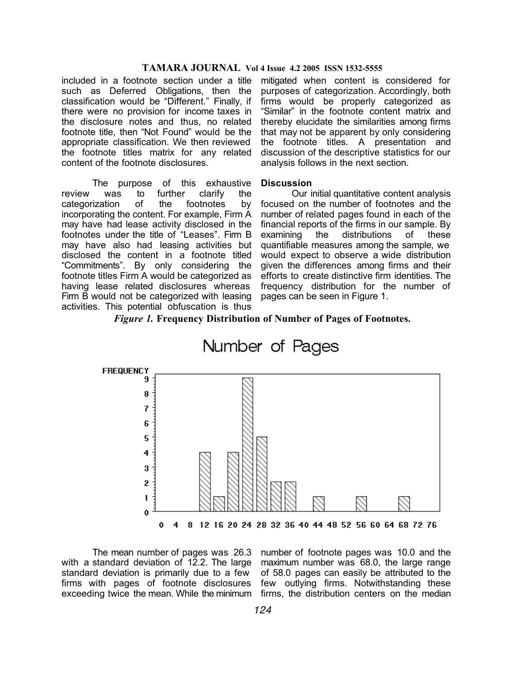included in a footnote section under a title such as Deferred Obligations, then the classification would be "Different." Finally, if there were no provision for income taxes in the disclosure notes and thus, no related footnote title, then "Not Found" would be the appropriate classification. We then reviewed the footnote titles matrix for any related content of the footnote disclosures.

The purpose of this exhaustive review was to further clarify the categorization of the footnotes by incorporating the content. For example, Firm A may have had lease activity disclosed in the footnotes under the title of "Leases". Firm B may have also had leasing activities but disclosed the content in a footnote titled "Commitments". By only considering the footnote titles Firm A would be categorized as having lease related disclosures whereas Firm B would not be categorized with leasing activities. This potential obfuscation is thus

mitigated when content is considered for purposes of categorization. Accordingly, both firms would be properly categorized as "Similar" in the footnote content matrix and thereby elucidate the similarities among firms that may not be apparent by only considering the footnote titles. A presentation and discussion of the descriptive statistics for our analysis follows in the next section.

#### **Discussion**

Our initial quantitative content analysis focused on the number of footnotes and the number of related pages found in each of the financial reports of the firms in our sample. By examining the distributions of these quantifiable measures among the sample, we would expect to observe a wide distribution given the differences among firms and their efforts to create distinctive firm identities. The frequency distribution for the number of pages can be seen in Figure 1.

#### *Figure 1.* **Frequency Distribution of Number of Pages of Footnotes.**



The mean number of pages was 26.3 with a standard deviation of 12.2. The large standard deviation is primarily due to a few firms with pages of footnote disclosures few outlying firms. Notwithstanding these exceeding twice the mean. While the minimum firms, the distribution centers on the median

number of footnote pages was 10.0 and the maximum number was 68.0, the large range of 58.0 pages can easily be attributed to the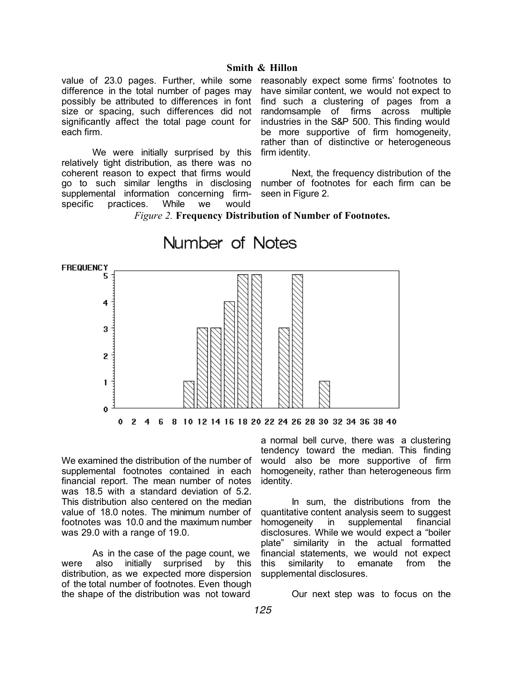### **Smith & Hillon**

value of 23.0 pages. Further, while some difference in the total number of pages may possibly be attributed to differences in font size or spacing, such differences did not significantly affect the total page count for each firm.

We were initially surprised by this relatively tight distribution, as there was no coherent reason to expect that firms would go to such similar lengths in disclosing supplemental information concerning firmspecific practices. While we would

reasonably expect some firms' footnotes to have similar content, we would not expect to find such a clustering of pages from a randomsample of firms across multiple industries in the S&P 500. This finding would be more supportive of firm homogeneity, rather than of distinctive or heterogeneous firm identity.

Next, the frequency distribution of the number of footnotes for each firm can be seen in Figure 2.

*Figure 2.* **Frequency Distribution of Number of Footnotes.**



We examined the distribution of the number of supplemental footnotes contained in each financial report. The mean number of notes was 18.5 with a standard deviation of 5.2. This distribution also centered on the median value of 18.0 notes. The minimum number of footnotes was 10.0 and the maximum number was 29.0 with a range of 19.0.

As in the case of the page count, we were also initially surprised by this distribution, as we expected more dispersion of the total number of footnotes. Even though the shape of the distribution was not toward

a normal bell curve, there was a clustering tendency toward the median. This finding would also be more supportive of firm homogeneity, rather than heterogeneous firm identity.

In sum, the distributions from the quantitative content analysis seem to suggest homogeneity in supplemental financial disclosures. While we would expect a "boiler plate" similarity in the actual formatted financial statements, we would not expect this similarity to emanate from the supplemental disclosures.

Our next step was to focus on the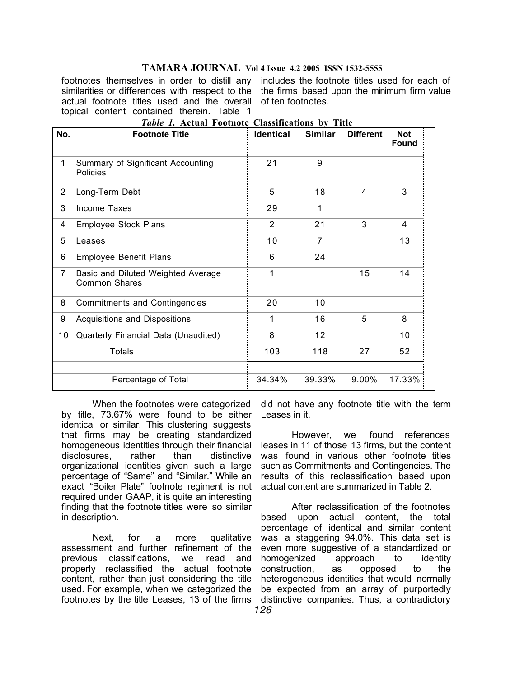footnotes themselves in order to distill any includes the footnote titles used for each of similarities or differences with respect to the the firms based upon the minimum firm value actual footnote titles used and the overall of ten footnotes. topical content contained therein. Table 1

| No.            | <b>Footnote Title</b>                                      | <b>Identical</b> | Similar         | <b>Different</b> | <b>Not</b><br><b>Found</b> |
|----------------|------------------------------------------------------------|------------------|-----------------|------------------|----------------------------|
| 1              | Summary of Significant Accounting<br>Policies              | 21               | 9               |                  |                            |
| 2              | Long-Term Debt                                             | 5                | 18              | 4                | 3                          |
| 3              | Income Taxes                                               | 29               | 1               |                  |                            |
| 4              | Employee Stock Plans                                       | 2                | 21              | 3                | 4                          |
| 5              | Leases                                                     | 10               | $\overline{7}$  |                  | 13                         |
| 6              | <b>Employee Benefit Plans</b>                              | 6                | 24              |                  |                            |
| $\overline{7}$ | Basic and Diluted Weighted Average<br><b>Common Shares</b> | 1                |                 | 15               | 14                         |
| 8              | <b>Commitments and Contingencies</b>                       | 20               | 10              |                  |                            |
| 9              | Acquisitions and Dispositions                              | 1                | 16              | 5                | 8                          |
| 10             | Quarterly Financial Data (Unaudited)                       | 8                | 12 <sup>2</sup> |                  | 10                         |
|                | <b>Totals</b>                                              | 103              | 118             | 27               | 52                         |
|                | Percentage of Total                                        | 34.34%           | 39.33%          | 9.00%            | 17.33%                     |

*Table 1.* **Actual Footnote Classifications by Title**

When the footnotes were categorized by title, 73.67% were found to be either Leases in it. identical or similar. This clustering suggests that firms may be creating standardized homogeneous identities through their financial disclosures, rather than distinctive organizational identities given such a large percentage of "Same" and "Similar." While an exact "Boiler Plate" footnote regiment is not required under GAAP, it is quite an interesting finding that the footnote titles were so similar in description.

Next, for a more qualitative assessment and further refinement of the previous classifications, we read and properly reclassified the actual footnote content, rather than just considering the title heterogeneous identities that would normally used. For example, when we categorized the footnotes by the title Leases, 13 of the firms distinctive companies. Thus, a contradictory

did not have any footnote title with the term

However, we found references leases in 11 of those 13 firms, but the content was found in various other footnote titles such as Commitments and Contingencies. The results of this reclassification based upon actual content are summarized in Table 2.

After reclassification of the footnotes based upon actual content, the total percentage of identical and similar content was a staggering 94.0%. This data set is even more suggestive of a standardized or homogenized approach to identity construction, as opposed to the be expected from an array of purportedly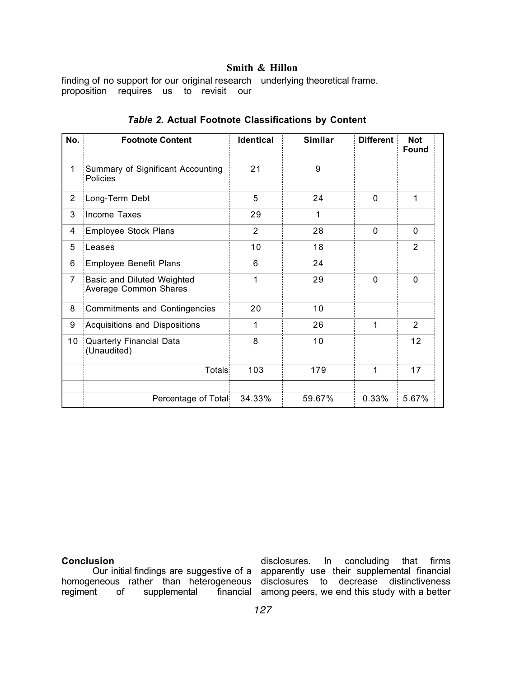# **Smith & Hillon**

finding of no support for our original research underlying theoretical frame. proposition requires us to revisit our

| No.            | <b>Footnote Content</b>                             | <b>Identical</b> | <b>Similar</b> | <b>Different</b> | <b>Not</b><br><b>Found</b> |
|----------------|-----------------------------------------------------|------------------|----------------|------------------|----------------------------|
| $\mathbf{1}$   | Summary of Significant Accounting<br>Policies       | 21               | 9              |                  |                            |
| 2              | Long-Term Debt                                      | 5                | 24             | $\mathbf{0}$     | 1                          |
| 3              | Income Taxes                                        | 29               | 1              |                  |                            |
| 4              | Employee Stock Plans                                | $\overline{2}$   | 28             | $\Omega$         | $\Omega$                   |
| 5              | Leases                                              | 10               | 18             |                  | $\overline{2}$             |
| 6              | Employee Benefit Plans                              | 6                | 24             |                  |                            |
| $\overline{7}$ | Basic and Diluted Weighted<br>Average Common Shares | 1                | 29             | $\mathbf 0$      | $\mathbf 0$                |
| 8              | <b>Commitments and Contingencies</b>                | 20               | 10             |                  |                            |
| 9              | Acquisitions and Dispositions                       | 1                | 26             | 1                | $\overline{2}$             |
| 10             | <b>Quarterly Financial Data</b><br>(Unaudited)      | 8                | 10             |                  | 12                         |
|                | Totals                                              | 103              | 179            | 1                | 17                         |
|                |                                                     |                  |                |                  |                            |
|                | Percentage of Total                                 | 34.33%           | 59.67%         | 0.33%            | 5.67%                      |

## *Table 2.* **Actual Footnote Classifications by Content**

**Conclusion**

homogeneous rather than heterogeneous disclosures to decrease distinctiveness regiment of supplemental

Our initial findings are suggestive of a apparently use their supplemental financial disclosures. In concluding that firms financial among peers, we end this study with a better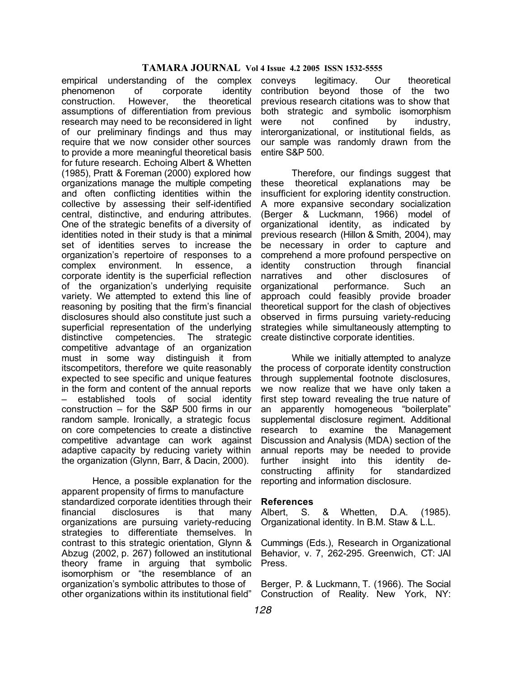empirical understanding of the complex phenomenon of corporate identity construction. However, the theoretical assumptions of differentiation from previous research may need to be reconsidered in light of our preliminary findings and thus may require that we now consider other sources to provide a more meaningful theoretical basis for future research. Echoing Albert & Whetten (1985), Pratt & Foreman (2000) explored how organizations manage the multiple competing and often conflicting identities within the collective by assessing their self-identified central, distinctive, and enduring attributes. One of the strategic benefits of a diversity of identities noted in their study is that a minimal set of identities serves to increase the organization's repertoire of responses to a complex environment. In essence, a corporate identity is the superficial reflection of the organization's underlying requisite variety. We attempted to extend this line of reasoning by positing that the firm's financial disclosures should also constitute just such a superficial representation of the underlying distinctive competencies. The strategic competitive advantage of an organization must in some way distinguish it from itscompetitors, therefore we quite reasonably expected to see specific and unique features in the form and content of the annual reports – established tools of social identity construction – for the S&P 500 firms in our random sample. Ironically, a strategic focus on core competencies to create a distinctive competitive advantage can work against adaptive capacity by reducing variety within the organization (Glynn, Barr, & Dacin, 2000).

Hence, a possible explanation for the apparent propensity of firms to manufacture standardized corporate identities through their financial disclosures is that many organizations are pursuing variety-reducing strategies to differentiate themselves. In contrast to this strategic orientation, Glynn & Abzug (2002, p. 267) followed an institutional theory frame in arguing that symbolic isomorphism or "the resemblance of an organization's symbolic attributes to those of other organizations within its institutional field"

legitimacy. Our theoretical contribution beyond those of the two previous research citations was to show that both strategic and symbolic isomorphism were not confined by industry, interorganizational, or institutional fields, as our sample was randomly drawn from the entire S&P 500.

Therefore, our findings suggest that these theoretical explanations may be insufficient for exploring identity construction. A more expansive secondary socialization (Berger & Luckmann, 1966) model of organizational identity, as indicated by previous research (Hillon & Smith, 2004), may be necessary in order to capture and comprehend a more profound perspective on identity construction through financial narratives and other disclosures of organizational performance. Such an approach could feasibly provide broader theoretical support for the clash of objectives observed in firms pursuing variety-reducing strategies while simultaneously attempting to create distinctive corporate identities.

While we initially attempted to analyze the process of corporate identity construction through supplemental footnote disclosures, we now realize that we have only taken a first step toward revealing the true nature of an apparently homogeneous "boilerplate" supplemental disclosure regiment. Additional research to examine the Management Discussion and Analysis (MDA) section of the annual reports may be needed to provide further insight into this identity deconstructing affinity for standardized reporting and information disclosure.

#### **References**

Albert, S. & Whetten, D.A. (1985). Organizational identity. In B.M. Staw & L.L.

Cummings (Eds.), Research in Organizational Behavior, v. 7, 262-295. Greenwich, CT: JAI Press.

Berger, P. & Luckmann, T. (1966). The Social Construction of Reality. New York, NY: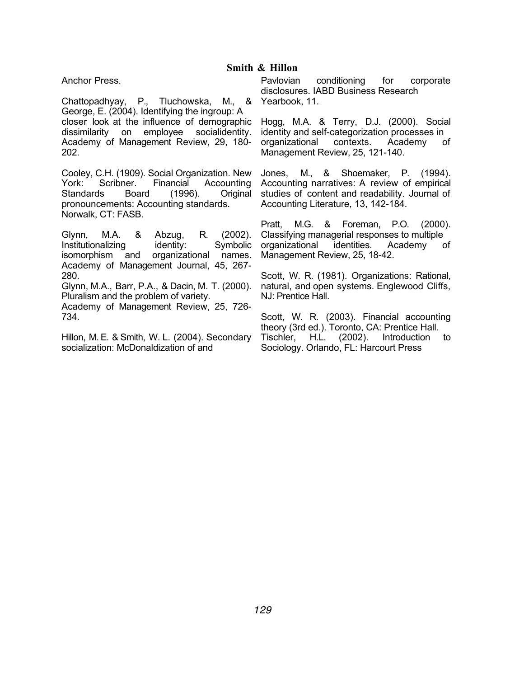Anchor Press.

Chattopadhyay, P., Tluchowska, M., & George, E. (2004). Identifying the ingroup: A closer look at the influence of demographic dissimilarity on employee socialidentity. Academy of Management Review, 29, 180- 202.

Cooley, C.H. (1909). Social Organization. New York: Scribner. Financial Accounting Standards Board (1996). Original pronouncements: Accounting standards. Norwalk, CT: FASB.

Glynn, M.A. & Abzug, R. (2002). Institutionalizing identity: Symbolic isomorphism and organizational names. Academy of Management Journal, 45, 267- 280.

Glynn, M.A., Barr, P.A., & Dacin, M. T. (2000). Pluralism and the problem of variety.

Academy of Management Review, 25, 726- 734.

Hillon, M. E. & Smith, W. L. (2004). Secondary socialization: McDonaldization of and

Pavlovian conditioning for corporate disclosures. IABD Business Research Yearbook, 11.

Hogg, M.A. & Terry, D.J. (2000). Social identity and self-categorization processes in organizational contexts. Academy of Management Review, 25, 121-140.

Jones, M., & Shoemaker, P. (1994). Accounting narratives: A review of empirical studies of content and readability. Journal of Accounting Literature, 13, 142-184.

Pratt, M.G. & Foreman, P.O. (2000). Classifying managerial responses to multiple organizational identities. Academy of Management Review, 25, 18-42.

Scott, W. R. (1981). Organizations: Rational, natural, and open systems. Englewood Cliffs, NJ: Prentice Hall.

Scott, W. R. (2003). Financial accounting theory (3rd ed.). Toronto, CA: Prentice Hall. Tischler, H.L. (2002). Introduction to Sociology. Orlando, FL: Harcourt Press